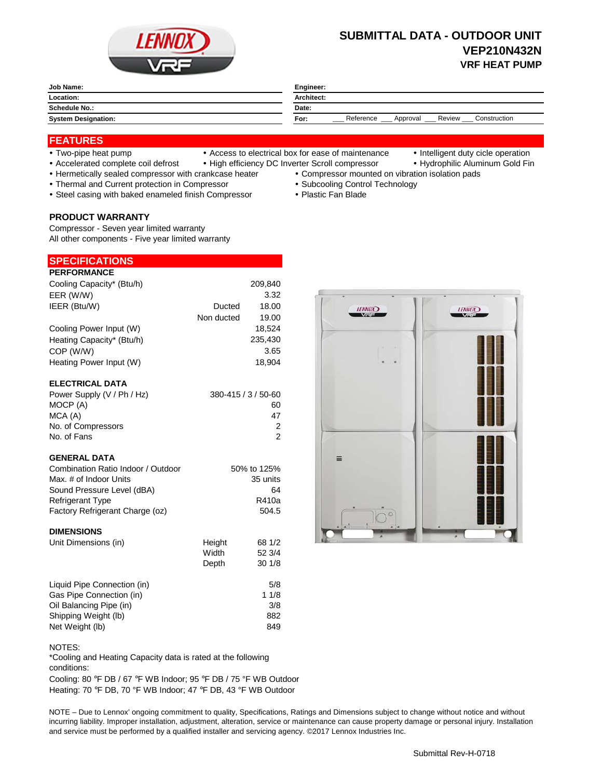

# **SUBMITTAL DATA - OUTDOOR UNIT VEP210N432N VRF HEAT PUMP**

| Job Name:                  | Engineer:                                               |
|----------------------------|---------------------------------------------------------|
| Location:                  | <b>Architect:</b>                                       |
| <b>Schedule No.:</b>       | Date:                                                   |
| <b>System Designation:</b> | Reference<br>Construction<br>Review<br>For:<br>Approval |

## **FEATURES**

- 
- Two-pipe heat pump Access to electrical box for ease of maintenance Intelligent duty cicle operation
- 
- Accelerated complete coil defrost High efficiency DC Inverter Scroll compressor Hydrophilic Aluminum Gold Fin
- Hermetically sealed compressor with crankcase heater Compressor mounted on vibration isolation pads
- Thermal and Current protection in Compressor **Subcooling Control Technology Subcooling Control Technology**
- Steel casing with baked enameled finish Compressor Plastic Fan Blade

## **PRODUCT WARRANTY**

Compressor - Seven year limited warranty All other components - Five year limited warranty

### **PERFORMANCE SPECIFICATIONS**

| ו בוא שואויוס ווב          |            |                     |
|----------------------------|------------|---------------------|
| Cooling Capacity* (Btu/h)  |            | 209,840             |
| EER (W/W)                  |            | 3.32                |
| IEER (Btu/W)               | Ducted     | 18.00               |
|                            | Non ducted | 19.00               |
| Cooling Power Input (W)    |            | 18.524              |
| Heating Capacity* (Btu/h)  |            | 235,430             |
| COP (W/W)                  |            | 3.65                |
| Heating Power Input (W)    |            | 18,904              |
| <b>ELECTRICAL DATA</b>     |            |                     |
| Power Supply (V / Ph / Hz) |            | 380-415 / 3 / 50-60 |

| $\overline{1}$ OWGI OUPPIY (V $\overline{1}$ III $\overline{1}$ III | $000 + 1070000$ |
|---------------------------------------------------------------------|-----------------|
| MOCP (A)                                                            | 60              |
| MCA (A)                                                             | 47              |
| No. of Compressors                                                  |                 |
| No. of Fans                                                         |                 |
|                                                                     |                 |

## **GENERAL DATA**

| Combination Ratio Indoor / Outdoor | 50% to 125% |
|------------------------------------|-------------|
| Max. # of Indoor Units             | 35 units    |
| Sound Pressure Level (dBA)         | 64          |
| <b>Refrigerant Type</b>            | R410a       |
| Factory Refrigerant Charge (oz)    | 504.5       |
|                                    |             |

## **DIMENSIONS**

| Unit Dimensions (in)        | Height | 68 1/2 |
|-----------------------------|--------|--------|
|                             | Width  | 52 3/4 |
|                             | Depth  | 301/8  |
| Liquid Pipe Connection (in) |        | 5/8    |
| Gas Pipe Connection (in)    |        | 11/8   |
| Oil Balancing Pipe (in)     |        | 3/8    |
| Shipping Weight (lb)        |        | 882    |
| Net Weight (lb)             |        | 849    |

NOTES:

\*Cooling and Heating Capacity data is rated at the following conditions:

Cooling: 80 °F DB / 67 °F WB Indoor; 95 °F DB / 75 °F WB Outdoor Heating: 70 °F DB, 70 °F WB Indoor; 47 °F DB, 43 °F WB Outdoor

NOTE – Due to Lennox' ongoing commitment to quality, Specifications, Ratings and Dimensions subject to change without notice and without incurring liability. Improper installation, adjustment, alteration, service or maintenance can cause property damage or personal injury. Installation and service must be performed by a qualified installer and servicing agency. ©2017 Lennox Industries Inc.